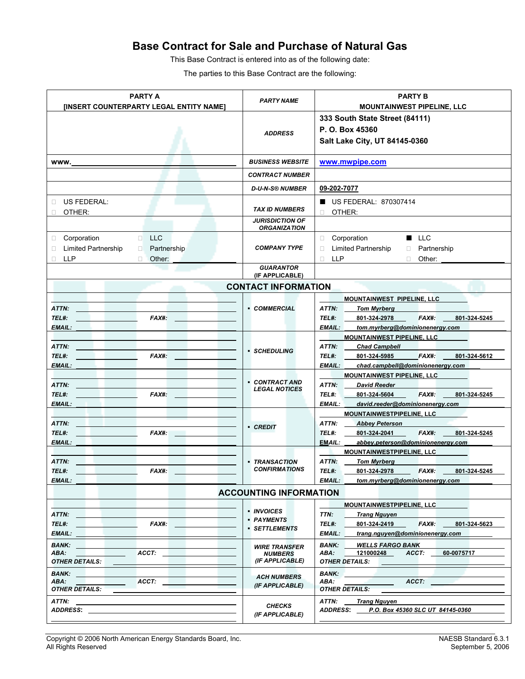# **Base Contract for Sale and Purchase of Natural Gas**

This Base Contract is entered into as of the following date:

The parties to this Base Contract are the following:

| <b>PARTY A</b><br>[INSERT COUNTERPARTY LEGAL ENTITY NAME]                                                                                                                                                                                                                                         | <b>PARTY NAME</b>                                                                 | <b>PARTY B</b><br><b>MOUNTAINWEST PIPELINE, LLC</b>                                                                                                                         |  |  |  |
|---------------------------------------------------------------------------------------------------------------------------------------------------------------------------------------------------------------------------------------------------------------------------------------------------|-----------------------------------------------------------------------------------|-----------------------------------------------------------------------------------------------------------------------------------------------------------------------------|--|--|--|
|                                                                                                                                                                                                                                                                                                   | <b>ADDRESS</b>                                                                    | 333 South State Street (84111)<br>P. O. Box 45360<br>Salt Lake City, UT 84145-0360                                                                                          |  |  |  |
| www.                                                                                                                                                                                                                                                                                              | <b>BUSINESS WEBSITE</b>                                                           | www.mwpipe.com                                                                                                                                                              |  |  |  |
|                                                                                                                                                                                                                                                                                                   | <b>CONTRACT NUMBER</b>                                                            |                                                                                                                                                                             |  |  |  |
|                                                                                                                                                                                                                                                                                                   | <b>D-U-N-S® NUMBER</b>                                                            | 09-202-7077                                                                                                                                                                 |  |  |  |
| US FEDERAL:<br>П.                                                                                                                                                                                                                                                                                 | <b>TAX ID NUMBERS</b>                                                             | US FEDERAL: 870307414                                                                                                                                                       |  |  |  |
| OTHER:<br>п                                                                                                                                                                                                                                                                                       | <b>JURISDICTION OF</b>                                                            | OTHER:<br>П                                                                                                                                                                 |  |  |  |
| <b>LLC</b><br>Corporation<br>$\Box$<br>$\Box$<br><b>Limited Partnership</b><br>Partnership<br>$\Box$<br>□<br><b>LLP</b><br>$\Box$<br>$\Box$<br>Other:                                                                                                                                             | <b>ORGANIZATION</b><br><b>COMPANY TYPE</b><br><b>GUARANTOR</b><br>(IF APPLICABLE) | $L_{\text{LC}}$<br><b>Corporation</b><br><b>Limited Partnership</b><br>Partnership<br>$\Box$<br>п<br><b>LLP</b><br>$\Box$<br>Other:<br>$\Box$                               |  |  |  |
|                                                                                                                                                                                                                                                                                                   | <b>CONTACT INFORMATION</b>                                                        |                                                                                                                                                                             |  |  |  |
| ATTN:<br>FAX#:<br>TEL#:<br>EMAIL:                                                                                                                                                                                                                                                                 | <b>• COMMERCIAL</b>                                                               | <b>MOUNTAINWEST PIPELINE, LLC</b><br>ATTN:<br><b>Tom Myrberg</b><br>TEL#:<br>FAX#:<br>801-324-5245<br>801-324-2978<br><b>EMAIL:</b><br>tom.myrberg@dominionenergy.com       |  |  |  |
| ATTN:<br>TEL#:<br>FAX#:<br><i>EMAIL:</i>                                                                                                                                                                                                                                                          | • SCHEDULING                                                                      | <b>MOUNTAINWEST PIPELINE, LLC</b><br>ATTN:<br><b>Chad Campbell</b><br>FAX#:<br>TEL#:<br>801-324-5985<br>801-324-5612<br><i>EMAIL:</i><br>chad.campbell@dominionenergy.com   |  |  |  |
| ATTN:<br>TEL#:<br><b>FAX#:</b><br>EMAIL:                                                                                                                                                                                                                                                          | - CONTRACT AND<br><b>LEGAL NOTICES</b>                                            | <b>MOUNTAINWEST PIPELINE, LLC</b><br>ATTN:<br>David Reeder<br>TEL#:<br>FAX#:<br>801-324-5245<br>801-324-5604<br><b>EMAIL:</b><br>david.reeder@dominionenergy.com            |  |  |  |
| ATTN:<br><b>FAX#:</b><br>TEL#:<br>EMAIL:                                                                                                                                                                                                                                                          | - CREDIT                                                                          | <b>MOUNTAINWESTPIPELINE, LLC</b><br>ATTN:<br><b>Abbey Peterson</b><br>TEL#:<br>FAX#:<br>801-324-5245<br>801-324-2041<br>abbey.peterson@dominionenergy.com<br>EM <i>AIL:</i> |  |  |  |
| ATTN:<br>FAX#:<br>TEL#:<br><i>EMAIL:</i>                                                                                                                                                                                                                                                          | • TRANSACTION<br><b>CONFIRMATIONS</b>                                             | <b>MOUNTAINWESTPIPELINE, LLC</b><br>ATTN:<br>Tom Myrberg<br>TEL#:<br>801-324-2978 FAX#:<br>801-324-5245<br><b>EMAIL:</b><br>tom.myrberg@dominionenergy.com                  |  |  |  |
| <b>ACCOUNTING INFORMATION</b>                                                                                                                                                                                                                                                                     |                                                                                   |                                                                                                                                                                             |  |  |  |
| ATTN:<br>FAX#:<br>TEL#:<br><i>EMAIL:</i>                                                                                                                                                                                                                                                          | • INVOICES<br>• PAYMENTS<br>- SETTLEMENTS                                         | MOUNTAINWESTPIPELINE, LLC<br>TTN:<br><b>Trang Nguyen</b><br>TEL#:<br>801-324-2419<br>FAX#:<br>801-324-5623<br><b>EMAIL:</b><br>trang.nguyen@dominionenergy.com              |  |  |  |
| <b>BANK:</b><br>ACCT:<br>ABA:<br><b>OTHER DETAILS:</b><br>BANK:                                                                                                                                                                                                                                   | <b>WIRE TRANSFER</b><br><b>NUMBERS</b><br>(IF APPLICABLE)<br><b>ACH NUMBERS</b>   | BANK:<br><b>WELLS FARGO BANK</b><br>ABA:<br>121000248<br>ACCT:<br>60-0075717<br><b>OTHER DETAILS:</b><br>BANK:                                                              |  |  |  |
| ACCT:<br>ABA:<br><b>OTHER DETAILS:</b><br>ATTN: ATTN: ATTN: ATTN: ATTN: ATTN: ATTN: ATTN: ATTN: ATTN: ATTN: ATTN: ATTN: ATTN: ATTN: ATTN: ATTN: ATTN: ATTN: ATTN: ATTN: ATTN: ATTN: ATTN: ATTN: ATTN: ATTN: ATTN: ATTN: ATTN: ATTN: ATTN: ATTN: ATTN: ATTN: ATTN: ATTN:<br><i><b>ADDRESS:</b></i> | (IF APPLICABLE)<br><b>CHECKS</b><br>(IF APPLICABLE)                               | ACCT:<br>ABA:<br><b>OTHER DETAILS:</b><br>ATTN: Trang Nguyen<br>ADDRESS: P.O. Box 45360 SLC UT 84145-0360                                                                   |  |  |  |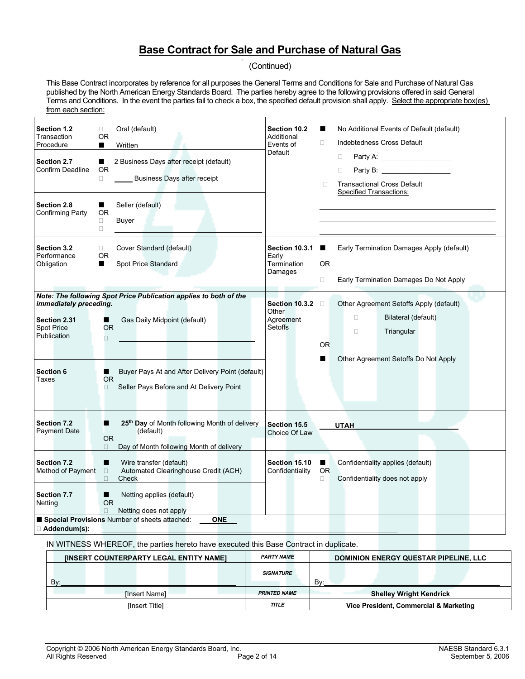# **Base Contract for Sale and Purchase of Natural Gas**

(Continued)

This Base Contract incorporates by reference for all purposes the General Terms and Conditions for Sale and Purchase of Natural Gas published by the North American Energy Standards Board. The parties hereby agree to the following provisions offered in said General Terms and Conditions. In the event the parties fail to check a box, the specified default provision shall apply. Select the appropriate box(es) from each section:

| Section 1.2<br>Transaction<br>Procedure<br>Section 2.7<br><b>Confirm Deadline</b><br>Section 2.8<br><b>Confirming Party</b> | 0<br>0R<br>■<br>0R<br>$\Box$<br>0R<br>о<br>$\Box$    | Oral (default)<br>Written<br>2 Business Days after receipt (default)<br><b>Business Days after receipt</b><br>Seller (default)<br>Buyer                                                           | Section 10.2<br>Additional<br>Events of<br>Default       | ■<br>$\Box$<br>п                      | No Additional Events of Default (default)<br>Indebtedness Cross Default<br>0<br>Party B: the contract of the contract of the contract of the contract of the contract of the contract of the contract of the contract of the contract of the contract of the contract of the contract of the contract of the c<br>п<br><b>Transactional Cross Default</b><br>Specified Transactions: |
|-----------------------------------------------------------------------------------------------------------------------------|------------------------------------------------------|---------------------------------------------------------------------------------------------------------------------------------------------------------------------------------------------------|----------------------------------------------------------|---------------------------------------|--------------------------------------------------------------------------------------------------------------------------------------------------------------------------------------------------------------------------------------------------------------------------------------------------------------------------------------------------------------------------------------|
| Section 3.2<br>Performance<br>Obligation                                                                                    | 0<br>0R                                              | Cover Standard (default)<br>Spot Price Standard                                                                                                                                                   | Section 10.3.1<br>Early<br>Termination<br>Damages        | <b>OR</b><br>0                        | Early Termination Damages Apply (default)<br>Early Termination Damages Do Not Apply                                                                                                                                                                                                                                                                                                  |
| immediately preceding.<br>Section 2.31<br>Spot Price<br>Publication<br><b>Section 6</b><br>Taxes                            | ш<br><b>OR</b><br>$\Box$<br>ш<br><b>OR</b><br>$\Box$ | Note: The following Spot Price Publication applies to both of the<br>Gas Daily Midpoint (default)<br>Buyer Pays At and After Delivery Point (default)<br>Seller Pays Before and At Delivery Point | <b>Section 10.3.2</b> □<br>Other<br>Agreement<br>Setoffs | <b>OR</b>                             | Other Agreement Setoffs Apply (default)<br>Bilateral (default)<br>0<br>$\Box$<br>Triangular<br>Other Agreement Setoffs Do Not Apply                                                                                                                                                                                                                                                  |
| Section 7.2<br><b>Payment Date</b>                                                                                          | ■<br><b>OR</b><br>□                                  | 25th Day of Month following Month of delivery<br>(default)<br>Day of Month following Month of delivery                                                                                            | Section 15.5<br>Choice Of Law                            |                                       | <b>UTAH</b>                                                                                                                                                                                                                                                                                                                                                                          |
| Section 7.2<br>Method of Payment<br>Section 7.7<br>Netting                                                                  | п<br>$\Box$<br>П<br>П<br>0R<br>п                     | Wire transfer (default)<br>Automated Clearinghouse Credit (ACH)<br>Check<br>Netting applies (default)<br>Netting does not apply                                                                   | Section 15.10<br>Confidentiality                         | $\blacksquare$<br><b>OR</b><br>$\Box$ | Confidentiality applies (default)<br>Confidentiality does not apply                                                                                                                                                                                                                                                                                                                  |
| Addendum(s):                                                                                                                |                                                      | Special Provisions Number of sheets attached:<br><b>ONE</b>                                                                                                                                       |                                                          |                                       |                                                                                                                                                                                                                                                                                                                                                                                      |

IN WITNESS WHEREOF, the parties hereto have executed this Base Contract in duplicate.

|     |                      | <b>[INSERT COUNTERPARTY LEGAL ENTITY NAME]</b> | <b>PARTY NAME</b>   |     |                                | <b>DOMINION ENERGY QUESTAR PIPELINE, LLC</b> |  |
|-----|----------------------|------------------------------------------------|---------------------|-----|--------------------------------|----------------------------------------------|--|
| Bv: |                      |                                                | <b>SIGNATURE</b>    | Bv: |                                |                                              |  |
|     | <b>Ilnsert Namel</b> |                                                | <b>PRINTED NAME</b> |     | <b>Shelley Wright Kendrick</b> |                                              |  |
|     | <b>Insert Titlel</b> |                                                | <b>TITLE</b>        |     |                                | Vice President, Commercial & Marketing       |  |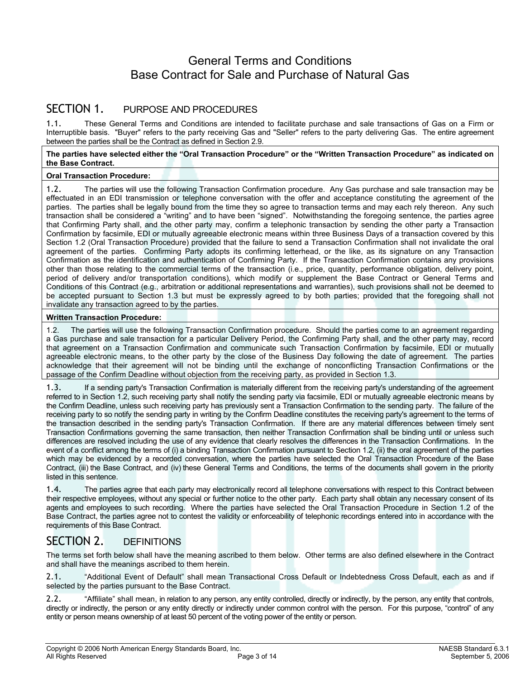# General Terms and Conditions Base Contract for Sale and Purchase of Natural Gas

### SECTION 1. PURPOSE AND PROCEDURES

1.1. These General Terms and Conditions are intended to facilitate purchase and sale transactions of Gas on a Firm or Interruptible basis. "Buyer" refers to the party receiving Gas and "Seller" refers to the party delivering Gas. The entire agreement between the parties shall be the Contract as defined in Section 2.9.

### **The parties have selected either the "Oral Transaction Procedure" or the "Written Transaction Procedure" as indicated on the Base Contract.**

### **Oral Transaction Procedure:**

1.2. The parties will use the following Transaction Confirmation procedure. Any Gas purchase and sale transaction may be effectuated in an EDI transmission or telephone conversation with the offer and acceptance constituting the agreement of the parties. The parties shall be legally bound from the time they so agree to transaction terms and may each rely thereon. Any such transaction shall be considered a "writing" and to have been "signed". Notwithstanding the foregoing sentence, the parties agree that Confirming Party shall, and the other party may, confirm a telephonic transaction by sending the other party a Transaction Confirmation by facsimile, EDI or mutually agreeable electronic means within three Business Days of a transaction covered by this Section 1.2 (Oral Transaction Procedure) provided that the failure to send a Transaction Confirmation shall not invalidate the oral agreement of the parties. Confirming Party adopts its confirming letterhead, or the like, as its signature on any Transaction Confirmation as the identification and authentication of Confirming Party. If the Transaction Confirmation contains any provisions other than those relating to the commercial terms of the transaction (i.e., price, quantity, performance obligation, delivery point, period of delivery and/or transportation conditions), which modify or supplement the Base Contract or General Terms and Conditions of this Contract (e.g., arbitration or additional representations and warranties), such provisions shall not be deemed to be accepted pursuant to Section 1.3 but must be expressly agreed to by both parties; provided that the foregoing shall not invalidate any transaction agreed to by the parties.

### **Written Transaction Procedure:**

1.2. The parties will use the following Transaction Confirmation procedure. Should the parties come to an agreement regarding a Gas purchase and sale transaction for a particular Delivery Period, the Confirming Party shall, and the other party may, record that agreement on a Transaction Confirmation and communicate such Transaction Confirmation by facsimile, EDI or mutually agreeable electronic means, to the other party by the close of the Business Day following the date of agreement. The parties acknowledge that their agreement will not be binding until the exchange of nonconflicting Transaction Confirmations or the passage of the Confirm Deadline without objection from the receiving party, as provided in Section 1.3.

1.3. If a sending party's Transaction Confirmation is materially different from the receiving party's understanding of the agreement referred to in Section 1.2, such receiving party shall notify the sending party via facsimile, EDI or mutually agreeable electronic means by the Confirm Deadline, unless such receiving party has previously sent a Transaction Confirmation to the sending party. The failure of the receiving party to so notify the sending party in writing by the Confirm Deadline constitutes the receiving party's agreement to the terms of the transaction described in the sending party's Transaction Confirmation. If there are any material differences between timely sent Transaction Confirmations governing the same transaction, then neither Transaction Confirmation shall be binding until or unless such differences are resolved including the use of any evidence that clearly resolves the differences in the Transaction Confirmations. In the event of a conflict among the terms of (i) a binding Transaction Confirmation pursuant to Section 1.2, (ii) the oral agreement of the parties which may be evidenced by a recorded conversation, where the parties have selected the Oral Transaction Procedure of the Base Contract, (iii) the Base Contract, and (iv) these General Terms and Conditions, the terms of the documents shall govern in the priority listed in this sentence.

1.4. The parties agree that each party may electronically record all telephone conversations with respect to this Contract between their respective employees, without any special or further notice to the other party. Each party shall obtain any necessary consent of its agents and employees to such recording. Where the parties have selected the Oral Transaction Procedure in Section 1.2 of the Base Contract, the parties agree not to contest the validity or enforceability of telephonic recordings entered into in accordance with the requirements of this Base Contract.

# SECTION 2. DEFINITIONS

The terms set forth below shall have the meaning ascribed to them below. Other terms are also defined elsewhere in the Contract and shall have the meanings ascribed to them herein.

2.1. "Additional Event of Default" shall mean Transactional Cross Default or Indebtedness Cross Default, each as and if selected by the parties pursuant to the Base Contract.

2.2. "Affiliate" shall mean, in relation to any person, any entity controlled, directly or indirectly, by the person, any entity that controls, directly or indirectly, the person or any entity directly or indirectly under common control with the person. For this purpose, "control" of any entity or person means ownership of at least 50 percent of the voting power of the entity or person.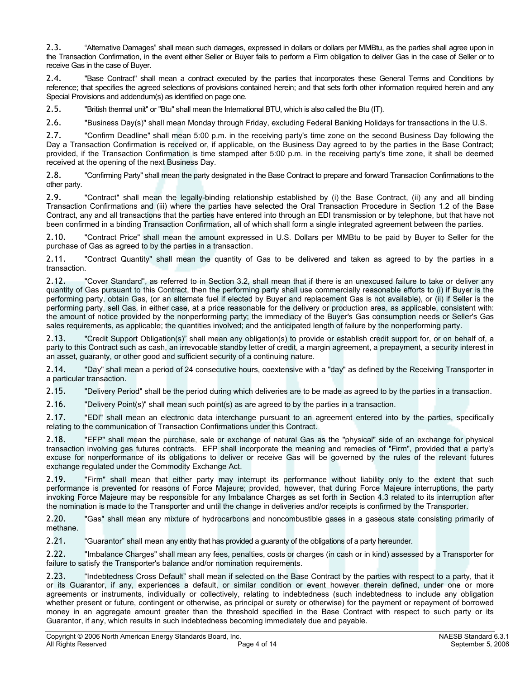2.3. "Alternative Damages" shall mean such damages, expressed in dollars or dollars per MMBtu, as the parties shall agree upon in the Transaction Confirmation, in the event either Seller or Buyer fails to perform a Firm obligation to deliver Gas in the case of Seller or to receive Gas in the case of Buyer.

2.4. "Base Contract" shall mean a contract executed by the parties that incorporates these General Terms and Conditions by reference; that specifies the agreed selections of provisions contained herein; and that sets forth other information required herein and any Special Provisions and addendum(s) as identified on page one.

2.5. "British thermal unit" or "Btu" shall mean the International BTU, which is also called the Btu (IT).

2.6. "Business Day(s)" shall mean Monday through Friday, excluding Federal Banking Holidays for transactions in the U.S.

2.7. "Confirm Deadline" shall mean 5:00 p.m. in the receiving party's time zone on the second Business Day following the Day a Transaction Confirmation is received or, if applicable, on the Business Day agreed to by the parties in the Base Contract; provided, if the Transaction Confirmation is time stamped after 5:00 p.m. in the receiving party's time zone, it shall be deemed received at the opening of the next Business Day.

2.8. "Confirming Party" shall mean the party designated in the Base Contract to prepare and forward Transaction Confirmations to the other party.

2.9. "Contract" shall mean the legally-binding relationship established by (i) the Base Contract, (ii) any and all binding Transaction Confirmations and (iii) where the parties have selected the Oral Transaction Procedure in Section 1.2 of the Base Contract, any and all transactions that the parties have entered into through an EDI transmission or by telephone, but that have not been confirmed in a binding Transaction Confirmation, all of which shall form a single integrated agreement between the parties.

2.10. "Contract Price" shall mean the amount expressed in U.S. Dollars per MMBtu to be paid by Buyer to Seller for the purchase of Gas as agreed to by the parties in a transaction.

2.11. "Contract Quantity" shall mean the quantity of Gas to be delivered and taken as agreed to by the parties in a transaction.

2.12. "Cover Standard", as referred to in Section 3.2, shall mean that if there is an unexcused failure to take or deliver any quantity of Gas pursuant to this Contract, then the performing party shall use commercially reasonable efforts to (i) if Buyer is the performing party, obtain Gas, (or an alternate fuel if elected by Buyer and replacement Gas is not available), or (ii) if Seller is the performing party, sell Gas, in either case, at a price reasonable for the delivery or production area, as applicable, consistent with: the amount of notice provided by the nonperforming party; the immediacy of the Buyer's Gas consumption needs or Seller's Gas sales requirements, as applicable; the quantities involved; and the anticipated length of failure by the nonperforming party.

2.13. "Credit Support Obligation(s)" shall mean any obligation(s) to provide or establish credit support for, or on behalf of, a party to this Contract such as cash, an irrevocable standby letter of credit, a margin agreement, a prepayment, a security interest in an asset, guaranty, or other good and sufficient security of a continuing nature.

2.14. "Day" shall mean a period of 24 consecutive hours, coextensive with a "day" as defined by the Receiving Transporter in a particular transaction.

2.15. "Delivery Period" shall be the period during which deliveries are to be made as agreed to by the parties in a transaction.

2.16. "Delivery Point(s)" shall mean such point(s) as are agreed to by the parties in a transaction.

2.17. "EDI" shall mean an electronic data interchange pursuant to an agreement entered into by the parties, specifically relating to the communication of Transaction Confirmations under this Contract.

2.18. "EFP" shall mean the purchase, sale or exchange of natural Gas as the "physical" side of an exchange for physical transaction involving gas futures contracts. EFP shall incorporate the meaning and remedies of "Firm", provided that a party's excuse for nonperformance of its obligations to deliver or receive Gas will be governed by the rules of the relevant futures exchange regulated under the Commodity Exchange Act.

2.19. "Firm" shall mean that either party may interrupt its performance without liability only to the extent that such performance is prevented for reasons of Force Majeure; provided, however, that during Force Majeure interruptions, the party invoking Force Majeure may be responsible for any Imbalance Charges as set forth in Section 4.3 related to its interruption after the nomination is made to the Transporter and until the change in deliveries and/or receipts is confirmed by the Transporter.

2.20. "Gas" shall mean any mixture of hydrocarbons and noncombustible gases in a gaseous state consisting primarily of methane.

2.21. "Guarantor" shall mean any entity that has provided a guaranty of the obligations of a party hereunder.

2.22. "Imbalance Charges" shall mean any fees, penalties, costs or charges (in cash or in kind) assessed by a Transporter for failure to satisfy the Transporter's balance and/or nomination requirements.

2.23. "Indebtedness Cross Default" shall mean if selected on the Base Contract by the parties with respect to a party, that it or its Guarantor, if any, experiences a default, or similar condition or event however therein defined, under one or more agreements or instruments, individually or collectively, relating to indebtedness (such indebtedness to include any obligation whether present or future, contingent or otherwise, as principal or surety or otherwise) for the payment or repayment of borrowed money in an aggregate amount greater than the threshold specified in the Base Contract with respect to such party or its Guarantor, if any, which results in such indebtedness becoming immediately due and payable.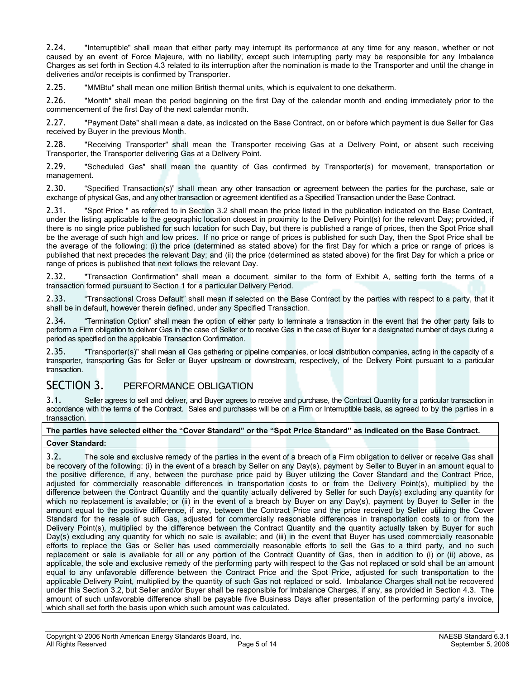2.24. "Interruptible" shall mean that either party may interrupt its performance at any time for any reason, whether or not caused by an event of Force Majeure, with no liability, except such interrupting party may be responsible for any Imbalance Charges as set forth in Section 4.3 related to its interruption after the nomination is made to the Transporter and until the change in deliveries and/or receipts is confirmed by Transporter.

2.25. "MMBtu" shall mean one million British thermal units, which is equivalent to one dekatherm.

2.26. "Month" shall mean the period beginning on the first Day of the calendar month and ending immediately prior to the commencement of the first Day of the next calendar month.

2.27. "Payment Date" shall mean a date, as indicated on the Base Contract, on or before which payment is due Seller for Gas received by Buyer in the previous Month.

2.28. "Receiving Transporter" shall mean the Transporter receiving Gas at a Delivery Point, or absent such receiving Transporter, the Transporter delivering Gas at a Delivery Point.

2.29. "Scheduled Gas" shall mean the quantity of Gas confirmed by Transporter(s) for movement, transportation or management.

2.30. "Specified Transaction(s)" shall mean any other transaction or agreement between the parties for the purchase, sale or exchange of physical Gas, and any other transaction or agreement identified as a Specified Transaction under the Base Contract.

2.31. "Spot Price " as referred to in Section 3.2 shall mean the price listed in the publication indicated on the Base Contract, under the listing applicable to the geographic location closest in proximity to the Delivery Point(s) for the relevant Day; provided, if there is no single price published for such location for such Day, but there is published a range of prices, then the Spot Price shall be the average of such high and low prices. If no price or range of prices is published for such Day, then the Spot Price shall be the average of the following: (i) the price (determined as stated above) for the first Day for which a price or range of prices is published that next precedes the relevant Day; and (ii) the price (determined as stated above) for the first Day for which a price or range of prices is published that next follows the relevant Day.

2.32. "Transaction Confirmation" shall mean a document, similar to the form of Exhibit A, setting forth the terms of a transaction formed pursuant to Section 1 for a particular Delivery Period.

2.33. "Transactional Cross Default" shall mean if selected on the Base Contract by the parties with respect to a party, that it shall be in default, however therein defined, under any Specified Transaction.

2.34. "Termination Option" shall mean the option of either party to terminate a transaction in the event that the other party fails to perform a Firm obligation to deliver Gas in the case of Seller or to receive Gas in the case of Buyer for a designated number of days during a period as specified on the applicable Transaction Confirmation.

2.35. "Transporter(s)" shall mean all Gas gathering or pipeline companies, or local distribution companies, acting in the capacity of a transporter, transporting Gas for Seller or Buyer upstream or downstream, respectively, of the Delivery Point pursuant to a particular transaction.

### SECTION 3. PERFORMANCE OBLIGATION

3.1. Seller agrees to sell and deliver, and Buyer agrees to receive and purchase, the Contract Quantity for a particular transaction in accordance with the terms of the Contract. Sales and purchases will be on a Firm or Interruptible basis, as agreed to by the parties in a transaction.

# **The parties have selected either the "Cover Standard" or the "Spot Price Standard" as indicated on the Base Contract.**

**Cover Standard:**

3.2. The sole and exclusive remedy of the parties in the event of a breach of a Firm obligation to deliver or receive Gas shall be recovery of the following: (i) in the event of a breach by Seller on any Day(s), payment by Seller to Buyer in an amount equal to the positive difference, if any, between the purchase price paid by Buyer utilizing the Cover Standard and the Contract Price, adjusted for commercially reasonable differences in transportation costs to or from the Delivery Point(s), multiplied by the difference between the Contract Quantity and the quantity actually delivered by Seller for such Day(s) excluding any quantity for which no replacement is available; or (ii) in the event of a breach by Buyer on any Day(s), payment by Buyer to Seller in the amount equal to the positive difference, if any, between the Contract Price and the price received by Seller utilizing the Cover Standard for the resale of such Gas, adjusted for commercially reasonable differences in transportation costs to or from the Delivery Point(s), multiplied by the difference between the Contract Quantity and the quantity actually taken by Buyer for such Day(s) excluding any quantity for which no sale is available; and (iii) in the event that Buyer has used commercially reasonable efforts to replace the Gas or Seller has used commercially reasonable efforts to sell the Gas to a third party, and no such replacement or sale is available for all or any portion of the Contract Quantity of Gas, then in addition to (i) or (ii) above, as applicable, the sole and exclusive remedy of the performing party with respect to the Gas not replaced or sold shall be an amount equal to any unfavorable difference between the Contract Price and the Spot Price, adjusted for such transportation to the applicable Delivery Point, multiplied by the quantity of such Gas not replaced or sold. Imbalance Charges shall not be recovered under this Section 3.2, but Seller and/or Buyer shall be responsible for Imbalance Charges, if any, as provided in Section 4.3. The amount of such unfavorable difference shall be payable five Business Days after presentation of the performing party's invoice, which shall set forth the basis upon which such amount was calculated.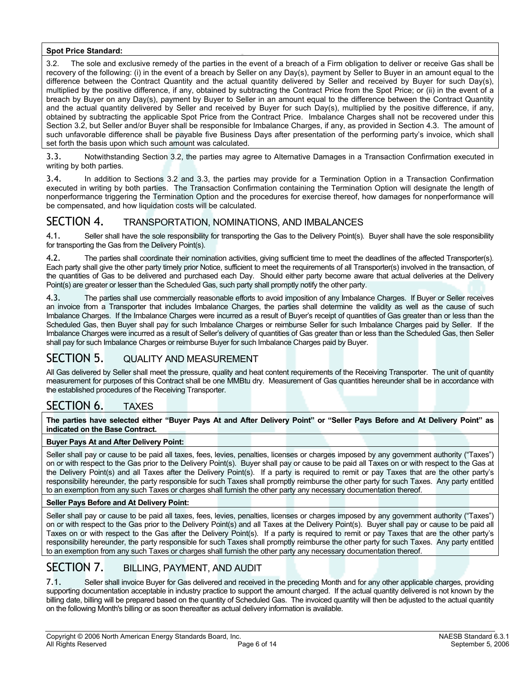### **Spot Price Standard:**

3.2. The sole and exclusive remedy of the parties in the event of a breach of a Firm obligation to deliver or receive Gas shall be recovery of the following: (i) in the event of a breach by Seller on any Day(s), payment by Seller to Buyer in an amount equal to the difference between the Contract Quantity and the actual quantity delivered by Seller and received by Buyer for such Day(s), multiplied by the positive difference, if any, obtained by subtracting the Contract Price from the Spot Price; or (ii) in the event of a breach by Buyer on any Day(s), payment by Buyer to Seller in an amount equal to the difference between the Contract Quantity and the actual quantity delivered by Seller and received by Buyer for such Day(s), multiplied by the positive difference, if any, obtained by subtracting the applicable Spot Price from the Contract Price. Imbalance Charges shall not be recovered under this Section 3.2, but Seller and/or Buyer shall be responsible for Imbalance Charges, if any, as provided in Section 4.3. The amount of such unfavorable difference shall be payable five Business Days after presentation of the performing party's invoice, which shall set forth the basis upon which such amount was calculated.

3.3. Notwithstanding Section 3.2, the parties may agree to Alternative Damages in a Transaction Confirmation executed in writing by both parties.

3.4. In addition to Sections 3.2 and 3.3, the parties may provide for a Termination Option in a Transaction Confirmation executed in writing by both parties. The Transaction Confirmation containing the Termination Option will designate the length of nonperformance triggering the Termination Option and the procedures for exercise thereof, how damages for nonperformance will be compensated, and how liquidation costs will be calculated.

### SECTION 4. TRANSPORTATION, NOMINATIONS, AND IMBALANCES

4.1. Seller shall have the sole responsibility for transporting the Gas to the Delivery Point(s). Buyer shall have the sole responsibility for transporting the Gas from the Delivery Point(s).

4.2. The parties shall coordinate their nomination activities, giving sufficient time to meet the deadlines of the affected Transporter(s). Each party shall give the other party timely prior Notice, sufficient to meet the requirements of all Transporter(s) involved in the transaction, of the quantities of Gas to be delivered and purchased each Day. Should either party become aware that actual deliveries at the Delivery Point(s) are greater or lesser than the Scheduled Gas, such party shall promptly notify the other party.

4.3. The parties shall use commercially reasonable efforts to avoid imposition of any Imbalance Charges. If Buyer or Seller receives an invoice from a Transporter that includes Imbalance Charges, the parties shall determine the validity as well as the cause of such Imbalance Charges. If the Imbalance Charges were incurred as a result of Buyer's receipt of quantities of Gas greater than or less than the Scheduled Gas, then Buyer shall pay for such Imbalance Charges or reimburse Seller for such Imbalance Charges paid by Seller. If the Imbalance Charges were incurred as a result of Seller's delivery of quantities of Gas greater than or less than the Scheduled Gas, then Seller shall pay for such Imbalance Charges or reimburse Buyer for such Imbalance Charges paid by Buyer.

# SECTION 5. QUALITY AND MEASUREMENT

All Gas delivered by Seller shall meet the pressure, quality and heat content requirements of the Receiving Transporter. The unit of quantity measurement for purposes of this Contract shall be one MMBtu dry. Measurement of Gas quantities hereunder shall be in accordance with the established procedures of the Receiving Transporter.

# SECTION 6. TAXES

**The parties have selected either "Buyer Pays At and After Delivery Point" or "Seller Pays Before and At Delivery Point" as indicated on the Base Contract.**

### **Buyer Pays At and After Delivery Point:**

Seller shall pay or cause to be paid all taxes, fees, levies, penalties, licenses or charges imposed by any government authority ("Taxes") on or with respect to the Gas prior to the Delivery Point(s). Buyer shall pay or cause to be paid all Taxes on or with respect to the Gas at the Delivery Point(s) and all Taxes after the Delivery Point(s). If a party is required to remit or pay Taxes that are the other party's responsibility hereunder, the party responsible for such Taxes shall promptly reimburse the other party for such Taxes. Any party entitled to an exemption from any such Taxes or charges shall furnish the other party any necessary documentation thereof.

### **Seller Pays Before and At Delivery Point:**

Seller shall pay or cause to be paid all taxes, fees, levies, penalties, licenses or charges imposed by any government authority ("Taxes") on or with respect to the Gas prior to the Delivery Point(s) and all Taxes at the Delivery Point(s). Buyer shall pay or cause to be paid all Taxes on or with respect to the Gas after the Delivery Point(s). If a party is required to remit or pay Taxes that are the other party's responsibility hereunder, the party responsible for such Taxes shall promptly reimburse the other party for such Taxes. Any party entitled to an exemption from any such Taxes or charges shall furnish the other party any necessary documentation thereof.

### SECTION 7. BILLING, PAYMENT, AND AUDIT

7.1. Seller shall invoice Buyer for Gas delivered and received in the preceding Month and for any other applicable charges, providing supporting documentation acceptable in industry practice to support the amount charged. If the actual quantity delivered is not known by the billing date, billing will be prepared based on the quantity of Scheduled Gas. The invoiced quantity will then be adjusted to the actual quantity on the following Month's billing or as soon thereafter as actual delivery information is available.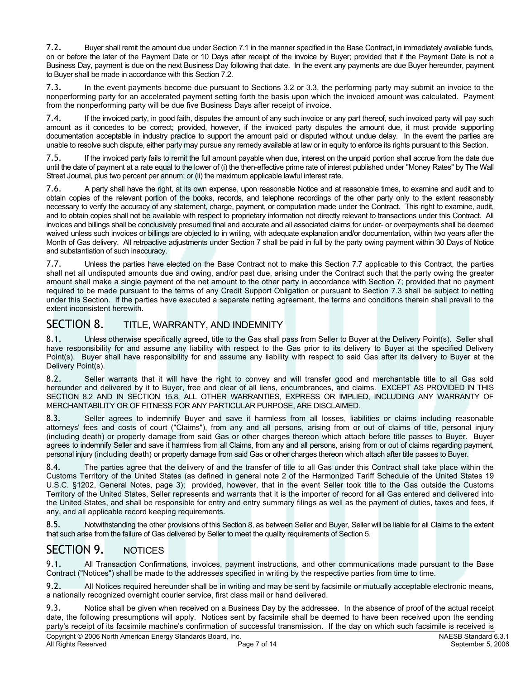7.2. Buyer shall remit the amount due under Section 7.1 in the manner specified in the Base Contract, in immediately available funds, on or before the later of the Payment Date or 10 Days after receipt of the invoice by Buyer; provided that if the Payment Date is not a Business Day, payment is due on the next Business Day following that date. In the event any payments are due Buyer hereunder, payment to Buyer shall be made in accordance with this Section 7.2.

7.3. In the event payments become due pursuant to Sections 3.2 or 3.3, the performing party may submit an invoice to the nonperforming party for an accelerated payment setting forth the basis upon which the invoiced amount was calculated. Payment from the nonperforming party will be due five Business Days after receipt of invoice.

7.4. If the invoiced party, in good faith, disputes the amount of any such invoice or any part thereof, such invoiced party will pay such amount as it concedes to be correct; provided, however, if the invoiced party disputes the amount due, it must provide supporting documentation acceptable in industry practice to support the amount paid or disputed without undue delay. In the event the parties are unable to resolve such dispute, either party may pursue any remedy available at law or in equity to enforce its rights pursuant to this Section.

7.5. If the invoiced party fails to remit the full amount payable when due, interest on the unpaid portion shall accrue from the date due until the date of payment at a rate equal to the lower of (i) the then-effective prime rate of interest published under "Money Rates" by The Wall Street Journal, plus two percent per annum; or (ii) the maximum applicable lawful interest rate.

7.6. A party shall have the right, at its own expense, upon reasonable Notice and at reasonable times, to examine and audit and to obtain copies of the relevant portion of the books, records, and telephone recordings of the other party only to the extent reasonably necessary to verify the accuracy of any statement, charge, payment, or computation made under the Contract. This right to examine, audit, and to obtain copies shall not be available with respect to proprietary information not directly relevant to transactions under this Contract. All invoices and billings shall be conclusively presumed final and accurate and all associated claims for under- or overpayments shall be deemed waived unless such invoices or billings are objected to in writing, with adequate explanation and/or documentation, within two years after the Month of Gas delivery. All retroactive adjustments under Section 7 shall be paid in full by the party owing payment within 30 Days of Notice and substantiation of such inaccuracy.

7.7. Unless the parties have elected on the Base Contract not to make this Section 7.7 applicable to this Contract, the parties shall net all undisputed amounts due and owing, and/or past due, arising under the Contract such that the party owing the greater amount shall make a single payment of the net amount to the other party in accordance with Section 7; provided that no payment required to be made pursuant to the terms of any Credit Support Obligation or pursuant to Section 7.3 shall be subject to netting under this Section. If the parties have executed a separate netting agreement, the terms and conditions therein shall prevail to the extent inconsistent herewith.

# SECTION 8. TITLE, WARRANTY, AND INDEMNITY

8.1. Unless otherwise specifically agreed, title to the Gas shall pass from Seller to Buyer at the Delivery Point(s). Seller shall have responsibility for and assume any liability with respect to the Gas prior to its delivery to Buyer at the specified Delivery Point(s). Buyer shall have responsibility for and assume any liability with respect to said Gas after its delivery to Buyer at the Delivery Point(s).

8.2. Seller warrants that it will have the right to convey and will transfer good and merchantable title to all Gas sold hereunder and delivered by it to Buyer, free and clear of all liens, encumbrances, and claims. EXCEPT AS PROVIDED IN THIS SECTION 8.2 AND IN SECTION 15.8, ALL OTHER WARRANTIES, EXPRESS OR IMPLIED, INCLUDING ANY WARRANTY OF MERCHANTABILITY OR OF FITNESS FOR ANY PARTICULAR PURPOSE, ARE DISCLAIMED.

8.3. Seller agrees to indemnify Buyer and save it harmless from all losses, liabilities or claims including reasonable attorneys' fees and costs of court ("Claims"), from any and all persons, arising from or out of claims of title, personal injury (including death) or property damage from said Gas or other charges thereon which attach before title passes to Buyer. Buyer agrees to indemnify Seller and save it harmless from all Claims, from any and all persons, arising from or out of claims regarding payment, personal injury (including death) or property damage from said Gas or other charges thereon which attach after title passes to Buyer.

8.4. The parties agree that the delivery of and the transfer of title to all Gas under this Contract shall take place within the Customs Territory of the United States (as defined in general note 2 of the Harmonized Tariff Schedule of the United States 19 U.S.C. §1202, General Notes, page 3); provided, however, that in the event Seller took title to the Gas outside the Customs Territory of the United States, Seller represents and warrants that it is the importer of record for all Gas entered and delivered into the United States, and shall be responsible for entry and entry summary filings as well as the payment of duties, taxes and fees, if any, and all applicable record keeping requirements.

8.5. Notwithstanding the other provisions of this Section 8, as between Seller and Buyer, Seller will be liable for all Claims to the extent that such arise from the failure of Gas delivered by Seller to meet the quality requirements of Section 5.

# SECTION 9. NOTICES

9.1. All Transaction Confirmations, invoices, payment instructions, and other communications made pursuant to the Base Contract ("Notices") shall be made to the addresses specified in writing by the respective parties from time to time.

9.2. All Notices required hereunder shall be in writing and may be sent by facsimile or mutually acceptable electronic means, a nationally recognized overnight courier service, first class mail or hand delivered.

9.3. Notice shall be given when received on a Business Day by the addressee. In the absence of proof of the actual receipt date, the following presumptions will apply. Notices sent by facsimile shall be deemed to have been received upon the sending party's receipt of its facsimile machine's confirmation of successful transmission. If the day on which such facsimile is received is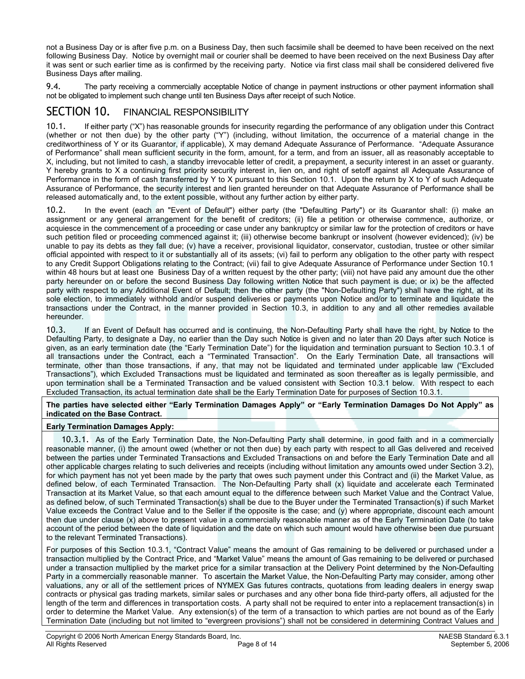not a Business Day or is after five p.m. on a Business Day, then such facsimile shall be deemed to have been received on the next following Business Day. Notice by overnight mail or courier shall be deemed to have been received on the next Business Day after it was sent or such earlier time as is confirmed by the receiving party. Notice via first class mail shall be considered delivered five Business Days after mailing.

9.4. The party receiving a commercially acceptable Notice of change in payment instructions or other payment information shall not be obligated to implement such change until ten Business Days after receipt of such Notice.

### SECTION 10. FINANCIAL RESPONSIBILITY

10.1. If either party ("X") has reasonable grounds for insecurity regarding the performance of any obligation under this Contract (whether or not then due) by the other party ("Y") (including, without limitation, the occurrence of a material change in the creditworthiness of Y or its Guarantor, if applicable), X may demand Adequate Assurance of Performance. "Adequate Assurance of Performance" shall mean sufficient security in the form, amount, for a term, and from an issuer, all as reasonably acceptable to X, including, but not limited to cash, a standby irrevocable letter of credit, a prepayment, a security interest in an asset or guaranty. Y hereby grants to X a continuing first priority security interest in, lien on, and right of setoff against all Adequate Assurance of Performance in the form of cash transferred by Y to X pursuant to this Section 10.1. Upon the return by X to Y of such Adequate Assurance of Performance, the security interest and lien granted hereunder on that Adequate Assurance of Performance shall be released automatically and, to the extent possible, without any further action by either party.

10.2. In the event (each an "Event of Default") either party (the "Defaulting Party") or its Guarantor shall: (i) make an assignment or any general arrangement for the benefit of creditors; (ii) file a petition or otherwise commence, authorize, or acquiesce in the commencement of a proceeding or case under any bankruptcy or similar law for the protection of creditors or have such petition filed or proceeding commenced against it; (iii) otherwise become bankrupt or insolvent (however evidenced); (iv) be unable to pay its debts as they fall due; (v) have a receiver, provisional liquidator, conservator, custodian, trustee or other similar official appointed with respect to it or substantially all of its assets; (vi) fail to perform any obligation to the other party with respect to any Credit Support Obligations relating to the Contract; (vii) fail to give Adequate Assurance of Performance under Section 10.1 within 48 hours but at least one Business Day of a written request by the other party; (viii) not have paid any amount due the other party hereunder on or before the second Business Day following written Notice that such payment is due; or ix) be the affected party with respect to any Additional Event of Default; then the other party (the "Non-Defaulting Party") shall have the right, at its sole election, to immediately withhold and/or suspend deliveries or payments upon Notice and/or to terminate and liquidate the transactions under the Contract, in the manner provided in Section 10.3, in addition to any and all other remedies available hereunder.

10.3. If an Event of Default has occurred and is continuing, the Non-Defaulting Party shall have the right, by Notice to the Defaulting Party, to designate a Day, no earlier than the Day such Notice is given and no later than 20 Days after such Notice is given, as an early termination date (the "Early Termination Date") for the liquidation and termination pursuant to Section 10.3.1 of all transactions under the Contract, each a "Terminated Transaction". On the Early Termination Date, all transactions will terminate, other than those transactions, if any, that may not be liquidated and terminated under applicable law ("Excluded Transactions"), which Excluded Transactions must be liquidated and terminated as soon thereafter as is legally permissible, and upon termination shall be a Terminated Transaction and be valued consistent with Section 10.3.1 below. With respect to each Excluded Transaction, its actual termination date shall be the Early Termination Date for purposes of Section 10.3.1.

**The parties have selected either "Early Termination Damages Apply" or "Early Termination Damages Do Not Apply" as indicated on the Base Contract.**

### **Early Termination Damages Apply:**

10.3.1. As of the Early Termination Date, the Non-Defaulting Party shall determine, in good faith and in a commercially reasonable manner, (i) the amount owed (whether or not then due) by each party with respect to all Gas delivered and received between the parties under Terminated Transactions and Excluded Transactions on and before the Early Termination Date and all other applicable charges relating to such deliveries and receipts (including without limitation any amounts owed under Section 3.2), for which payment has not yet been made by the party that owes such payment under this Contract and (ii) the Market Value, as defined below, of each Terminated Transaction. The Non-Defaulting Party shall (x) liquidate and accelerate each Terminated Transaction at its Market Value, so that each amount equal to the difference between such Market Value and the Contract Value, as defined below, of such Terminated Transaction(s) shall be due to the Buyer under the Terminated Transaction(s) if such Market Value exceeds the Contract Value and to the Seller if the opposite is the case; and (y) where appropriate, discount each amount then due under clause (x) above to present value in a commercially reasonable manner as of the Early Termination Date (to take account of the period between the date of liquidation and the date on which such amount would have otherwise been due pursuant to the relevant Terminated Transactions).

For purposes of this Section 10.3.1, "Contract Value" means the amount of Gas remaining to be delivered or purchased under a transaction multiplied by the Contract Price, and "Market Value" means the amount of Gas remaining to be delivered or purchased under a transaction multiplied by the market price for a similar transaction at the Delivery Point determined by the Non-Defaulting Party in a commercially reasonable manner. To ascertain the Market Value, the Non-Defaulting Party may consider, among other valuations, any or all of the settlement prices of NYMEX Gas futures contracts, quotations from leading dealers in energy swap contracts or physical gas trading markets, similar sales or purchases and any other bona fide third-party offers, all adjusted for the length of the term and differences in transportation costs. A party shall not be required to enter into a replacement transaction(s) in order to determine the Market Value. Any extension(s) of the term of a transaction to which parties are not bound as of the Early Termination Date (including but not limited to "evergreen provisions") shall not be considered in determining Contract Values and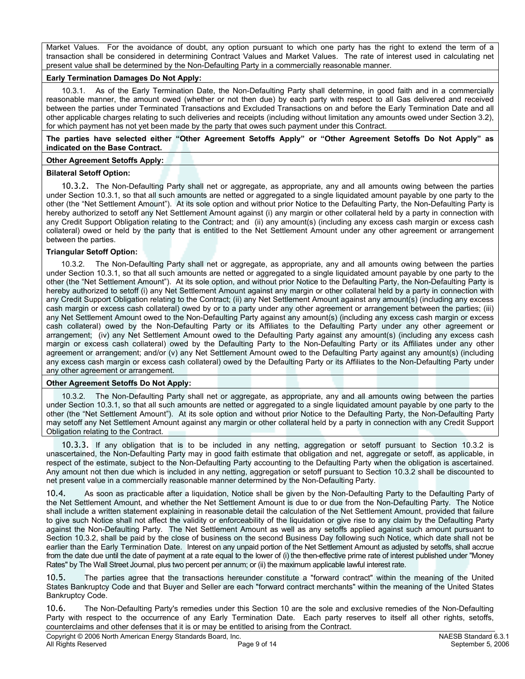Market Values. For the avoidance of doubt, any option pursuant to which one party has the right to extend the term of a transaction shall be considered in determining Contract Values and Market Values. The rate of interest used in calculating net present value shall be determined by the Non-Defaulting Party in a commercially reasonable manner.

### **Early Termination Damages Do Not Apply:**

10.3.1. As of the Early Termination Date, the Non-Defaulting Party shall determine, in good faith and in a commercially reasonable manner, the amount owed (whether or not then due) by each party with respect to all Gas delivered and received between the parties under Terminated Transactions and Excluded Transactions on and before the Early Termination Date and all other applicable charges relating to such deliveries and receipts (including without limitation any amounts owed under Section 3.2), for which payment has not yet been made by the party that owes such payment under this Contract.

**The parties have selected either "Other Agreement Setoffs Apply" or "Other Agreement Setoffs Do Not Apply" as indicated on the Base Contract.**

#### **Other Agreement Setoffs Apply:**

#### **Bilateral Setoff Option:**

10.3.2. The Non-Defaulting Party shall net or aggregate, as appropriate, any and all amounts owing between the parties under Section 10.3.1, so that all such amounts are netted or aggregated to a single liquidated amount payable by one party to the other (the "Net Settlement Amount"). At its sole option and without prior Notice to the Defaulting Party, the Non-Defaulting Party is hereby authorized to setoff any Net Settlement Amount against (i) any margin or other collateral held by a party in connection with any Credit Support Obligation relating to the Contract; and (ii) any amount(s) (including any excess cash margin or excess cash collateral) owed or held by the party that is entitled to the Net Settlement Amount under any other agreement or arrangement between the parties.

#### **Triangular Setoff Option:**

10.3.2. The Non-Defaulting Party shall net or aggregate, as appropriate, any and all amounts owing between the parties under Section 10.3.1, so that all such amounts are netted or aggregated to a single liquidated amount payable by one party to the other (the "Net Settlement Amount"). At its sole option, and without prior Notice to the Defaulting Party, the Non-Defaulting Party is hereby authorized to setoff (i) any Net Settlement Amount against any margin or other collateral held by a party in connection with any Credit Support Obligation relating to the Contract; (ii) any Net Settlement Amount against any amount(s) (including any excess cash margin or excess cash collateral) owed by or to a party under any other agreement or arrangement between the parties; (iii) any Net Settlement Amount owed to the Non-Defaulting Party against any amount(s) (including any excess cash margin or excess cash collateral) owed by the Non-Defaulting Party or its Affiliates to the Defaulting Party under any other agreement or arrangement; (iv) any Net Settlement Amount owed to the Defaulting Party against any amount(s) (including any excess cash margin or excess cash collateral) owed by the Defaulting Party to the Non-Defaulting Party or its Affiliates under any other agreement or arrangement; and/or (v) any Net Settlement Amount owed to the Defaulting Party against any amount(s) (including any excess cash margin or excess cash collateral) owed by the Defaulting Party or its Affiliates to the Non-Defaulting Party under any other agreement or arrangement.

#### **Other Agreement Setoffs Do Not Apply:**

10.3.2. The Non-Defaulting Party shall net or aggregate, as appropriate, any and all amounts owing between the parties under Section 10.3.1, so that all such amounts are netted or aggregated to a single liquidated amount payable by one party to the other (the "Net Settlement Amount"). At its sole option and without prior Notice to the Defaulting Party, the Non-Defaulting Party may setoff any Net Settlement Amount against any margin or other collateral held by a party in connection with any Credit Support Obligation relating to the Contract.

10.3.3. If any obligation that is to be included in any netting, aggregation or setoff pursuant to Section 10.3.2 is unascertained, the Non-Defaulting Party may in good faith estimate that obligation and net, aggregate or setoff, as applicable, in respect of the estimate, subject to the Non-Defaulting Party accounting to the Defaulting Party when the obligation is ascertained. Any amount not then due which is included in any netting, aggregation or setoff pursuant to Section 10.3.2 shall be discounted to net present value in a commercially reasonable manner determined by the Non-Defaulting Party.

10.4. As soon as practicable after a liquidation, Notice shall be given by the Non-Defaulting Party to the Defaulting Party of the Net Settlement Amount, and whether the Net Settlement Amount is due to or due from the Non-Defaulting Party. The Notice shall include a written statement explaining in reasonable detail the calculation of the Net Settlement Amount, provided that failure to give such Notice shall not affect the validity or enforceability of the liquidation or give rise to any claim by the Defaulting Party against the Non-Defaulting Party. The Net Settlement Amount as well as any setoffs applied against such amount pursuant to Section 10.3.2, shall be paid by the close of business on the second Business Day following such Notice, which date shall not be earlier than the Early Termination Date. Interest on any unpaid portion of the Net Settlement Amount as adjusted by setoffs, shall accrue from the date due until the date of payment at a rate equal to the lower of (i) the then-effective prime rate of interest published under "Money Rates" by The Wall Street Journal, plus two percent per annum; or (ii) the maximum applicable lawful interest rate.

10.5. The parties agree that the transactions hereunder constitute a "forward contract" within the meaning of the United States Bankruptcy Code and that Buyer and Seller are each "forward contract merchants" within the meaning of the United States Bankruptcy Code.

10.6. The Non-Defaulting Party's remedies under this Section 10 are the sole and exclusive remedies of the Non-Defaulting Party with respect to the occurrence of any Early Termination Date. Each party reserves to itself all other rights, setoffs, counterclaims and other defenses that it is or may be entitled to arising from the Contract.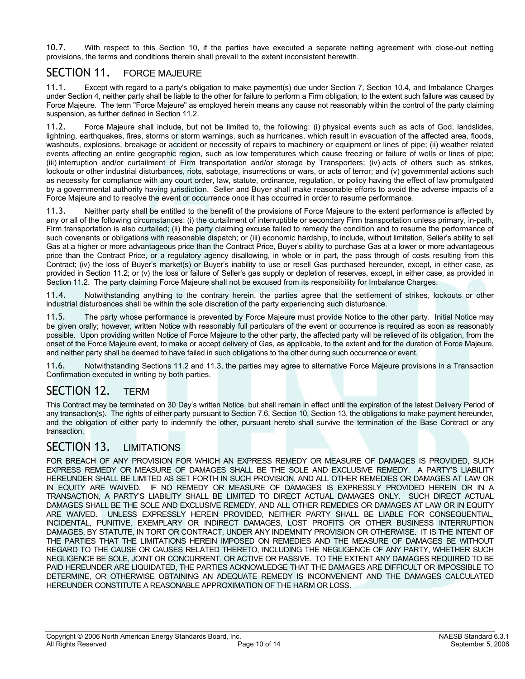10.7. With respect to this Section 10, if the parties have executed a separate netting agreement with close-out netting provisions, the terms and conditions therein shall prevail to the extent inconsistent herewith.

### SECTION 11. FORCE MAJEURE

11.1. Except with regard to a party's obligation to make payment(s) due under Section 7, Section 10.4, and Imbalance Charges under Section 4, neither party shall be liable to the other for failure to perform a Firm obligation, to the extent such failure was caused by Force Majeure. The term "Force Majeure" as employed herein means any cause not reasonably within the control of the party claiming suspension, as further defined in Section 11.2.

11.2. Force Majeure shall include, but not be limited to, the following: (i) physical events such as acts of God, landslides, lightning, earthquakes, fires, storms or storm warnings, such as hurricanes, which result in evacuation of the affected area, floods, washouts, explosions, breakage or accident or necessity of repairs to machinery or equipment or lines of pipe; (ii) weather related events affecting an entire geographic region, such as low temperatures which cause freezing or failure of wells or lines of pipe; (iii) interruption and/or curtailment of Firm transportation and/or storage by Transporters; (iv) acts of others such as strikes, lockouts or other industrial disturbances, riots, sabotage, insurrections or wars, or acts of terror; and (v) governmental actions such as necessity for compliance with any court order, law, statute, ordinance, regulation, or policy having the effect of law promulgated by a governmental authority having jurisdiction. Seller and Buyer shall make reasonable efforts to avoid the adverse impacts of a Force Majeure and to resolve the event or occurrence once it has occurred in order to resume performance.

11.3. Neither party shall be entitled to the benefit of the provisions of Force Majeure to the extent performance is affected by any or all of the following circumstances: (i) the curtailment of interruptible or secondary Firm transportation unless primary, in-path, Firm transportation is also curtailed; (ii) the party claiming excuse failed to remedy the condition and to resume the performance of such covenants or obligations with reasonable dispatch; or (iii) economic hardship, to include, without limitation, Seller's ability to sell Gas at a higher or more advantageous price than the Contract Price, Buyer's ability to purchase Gas at a lower or more advantageous price than the Contract Price, or a regulatory agency disallowing, in whole or in part, the pass through of costs resulting from this Contract; (iv) the loss of Buyer's market(s) or Buyer's inability to use or resell Gas purchased hereunder, except, in either case, as provided in Section 11.2; or (v) the loss or failure of Seller's gas supply or depletion of reserves, except, in either case, as provided in Section 11.2. The party claiming Force Majeure shall not be excused from its responsibility for Imbalance Charges.

11.4. Notwithstanding anything to the contrary herein, the parties agree that the settlement of strikes, lockouts or other industrial disturbances shall be within the sole discretion of the party experiencing such disturbance.

11.5. The party whose performance is prevented by Force Majeure must provide Notice to the other party. Initial Notice may be given orally; however, written Notice with reasonably full particulars of the event or occurrence is required as soon as reasonably possible. Upon providing written Notice of Force Majeure to the other party, the affected party will be relieved of its obligation, from the onset of the Force Majeure event, to make or accept delivery of Gas, as applicable, to the extent and for the duration of Force Majeure, and neither party shall be deemed to have failed in such obligations to the other during such occurrence or event.

11.6. Notwithstanding Sections 11.2 and 11.3, the parties may agree to alternative Force Majeure provisions in a Transaction Confirmation executed in writing by both parties.

# SECTION 12. TERM

This Contract may be terminated on 30 Day's written Notice, but shall remain in effect until the expiration of the latest Delivery Period of any transaction(s). The rights of either party pursuant to Section 7.6, Section 10, Section 13, the obligations to make payment hereunder, and the obligation of either party to indemnify the other, pursuant hereto shall survive the termination of the Base Contract or any transaction.

### SECTION 13. LIMITATIONS

FOR BREACH OF ANY PROVISION FOR WHICH AN EXPRESS REMEDY OR MEASURE OF DAMAGES IS PROVIDED, SUCH EXPRESS REMEDY OR MEASURE OF DAMAGES SHALL BE THE SOLE AND EXCLUSIVE REMEDY. A PARTY'S LIABILITY HEREUNDER SHALL BE LIMITED AS SET FORTH IN SUCH PROVISION, AND ALL OTHER REMEDIES OR DAMAGES AT LAW OR IN EQUITY ARE WAIVED. IF NO REMEDY OR MEASURE OF DAMAGES IS EXPRESSLY PROVIDED HEREIN OR IN A TRANSACTION, A PARTY'S LIABILITY SHALL BE LIMITED TO DIRECT ACTUAL DAMAGES ONLY. SUCH DIRECT ACTUAL DAMAGES SHALL BE THE SOLE AND EXCLUSIVE REMEDY, AND ALL OTHER REMEDIES OR DAMAGES AT LAW OR IN EQUITY ARE WAIVED. UNLESS EXPRESSLY HEREIN PROVIDED, NEITHER PARTY SHALL BE LIABLE FOR CONSEQUENTIAL, INCIDENTAL, PUNITIVE, EXEMPLARY OR INDIRECT DAMAGES, LOST PROFITS OR OTHER BUSINESS INTERRUPTION DAMAGES, BY STATUTE, IN TORT OR CONTRACT, UNDER ANY INDEMNITY PROVISION OR OTHERWISE. IT IS THE INTENT OF THE PARTIES THAT THE LIMITATIONS HEREIN IMPOSED ON REMEDIES AND THE MEASURE OF DAMAGES BE WITHOUT REGARD TO THE CAUSE OR CAUSES RELATED THERETO, INCLUDING THE NEGLIGENCE OF ANY PARTY, WHETHER SUCH NEGLIGENCE BE SOLE, JOINT OR CONCURRENT, OR ACTIVE OR PASSIVE. TO THE EXTENT ANY DAMAGES REQUIRED TO BE PAID HEREUNDER ARE LIQUIDATED, THE PARTIES ACKNOWLEDGE THAT THE DAMAGES ARE DIFFICULT OR IMPOSSIBLE TO DETERMINE, OR OTHERWISE OBTAINING AN ADEQUATE REMEDY IS INCONVENIENT AND THE DAMAGES CALCULATED HEREUNDER CONSTITUTE A REASONABLE APPROXIMATION OF THE HARM OR LOSS.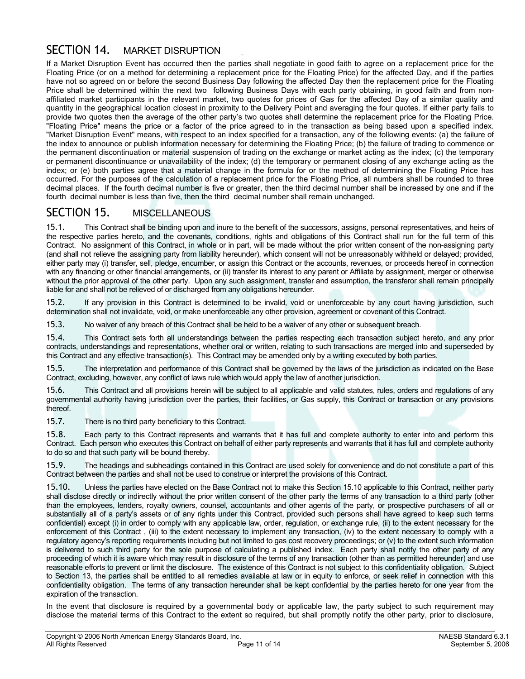# SECTION 14. MARKET DISRUPTION

If a Market Disruption Event has occurred then the parties shall negotiate in good faith to agree on a replacement price for the Floating Price (or on a method for determining a replacement price for the Floating Price) for the affected Day, and if the parties have not so agreed on or before the second Business Day following the affected Day then the replacement price for the Floating Price shall be determined within the next two following Business Days with each party obtaining, in good faith and from nonaffiliated market participants in the relevant market, two quotes for prices of Gas for the affected Day of a similar quality and quantity in the geographical location closest in proximity to the Delivery Point and averaging the four quotes. If either party fails to provide two quotes then the average of the other party's two quotes shall determine the replacement price for the Floating Price. "Floating Price" means the price or a factor of the price agreed to in the transaction as being based upon a specified index. "Market Disruption Event" means, with respect to an index specified for a transaction, any of the following events: (a) the failure of the index to announce or publish information necessary for determining the Floating Price; (b) the failure of trading to commence or the permanent discontinuation or material suspension of trading on the exchange or market acting as the index; (c) the temporary or permanent discontinuance or unavailability of the index; (d) the temporary or permanent closing of any exchange acting as the index; or (e) both parties agree that a material change in the formula for or the method of determining the Floating Price has occurred. For the purposes of the calculation of a replacement price for the Floating Price, all numbers shall be rounded to three decimal places. If the fourth decimal number is five or greater, then the third decimal number shall be increased by one and if the fourth decimal number is less than five, then the third decimal number shall remain unchanged.

# SECTION 15. MISCELLANEOUS

15.1. This Contract shall be binding upon and inure to the benefit of the successors, assigns, personal representatives, and heirs of the respective parties hereto, and the covenants, conditions, rights and obligations of this Contract shall run for the full term of this Contract. No assignment of this Contract, in whole or in part, will be made without the prior written consent of the non-assigning party (and shall not relieve the assigning party from liability hereunder), which consent will not be unreasonably withheld or delayed; provided, either party may (i) transfer, sell, pledge, encumber, or assign this Contract or the accounts, revenues, or proceeds hereof in connection with any financing or other financial arrangements, or (ii) transfer its interest to any parent or Affiliate by assignment, merger or otherwise without the prior approval of the other party. Upon any such assignment, transfer and assumption, the transferor shall remain principally liable for and shall not be relieved of or discharged from any obligations hereunder.

15.2. If any provision in this Contract is determined to be invalid, void or unenforceable by any court having jurisdiction, such determination shall not invalidate, void, or make unenforceable any other provision, agreement or covenant of this Contract.

15.3. No waiver of any breach of this Contract shall be held to be a waiver of any other or subsequent breach.

15.4. This Contract sets forth all understandings between the parties respecting each transaction subject hereto, and any prior contracts, understandings and representations, whether oral or written, relating to such transactions are merged into and superseded by this Contract and any effective transaction(s). This Contract may be amended only by a writing executed by both parties.

15.5. The interpretation and performance of this Contract shall be governed by the laws of the jurisdiction as indicated on the Base Contract, excluding, however, any conflict of laws rule which would apply the law of another jurisdiction.

15.6. This Contract and all provisions herein will be subject to all applicable and valid statutes, rules, orders and regulations of any governmental authority having jurisdiction over the parties, their facilities, or Gas supply, this Contract or transaction or any provisions thereof.

15.7. There is no third party beneficiary to this Contract.

15.8. Each party to this Contract represents and warrants that it has full and complete authority to enter into and perform this Contract. Each person who executes this Contract on behalf of either party represents and warrants that it has full and complete authority to do so and that such party will be bound thereby.

15.9. The headings and subheadings contained in this Contract are used solely for convenience and do not constitute a part of this Contract between the parties and shall not be used to construe or interpret the provisions of this Contract.

15.10. Unless the parties have elected on the Base Contract not to make this Section 15.10 applicable to this Contract, neither party shall disclose directly or indirectly without the prior written consent of the other party the terms of any transaction to a third party (other than the employees, lenders, royalty owners, counsel, accountants and other agents of the party, or prospective purchasers of all or substantially all of a party's assets or of any rights under this Contract, provided such persons shall have agreed to keep such terms confidential) except (i) in order to comply with any applicable law, order, regulation, or exchange rule, (ii) to the extent necessary for the enforcement of this Contract , (iii) to the extent necessary to implement any transaction, (iv) to the extent necessary to comply with a regulatory agency's reporting requirements including but not limited to gas cost recovery proceedings; or (v) to the extent such information is delivered to such third party for the sole purpose of calculating a published index. Each party shall notify the other party of any proceeding of which it is aware which may result in disclosure of the terms of any transaction (other than as permitted hereunder) and use reasonable efforts to prevent or limit the disclosure. The existence of this Contract is not subject to this confidentiality obligation. Subject to Section 13, the parties shall be entitled to all remedies available at law or in equity to enforce, or seek relief in connection with this confidentiality obligation. The terms of any transaction hereunder shall be kept confidential by the parties hereto for one year from the expiration of the transaction.

In the event that disclosure is required by a governmental body or applicable law, the party subject to such requirement may disclose the material terms of this Contract to the extent so required, but shall promptly notify the other party, prior to disclosure,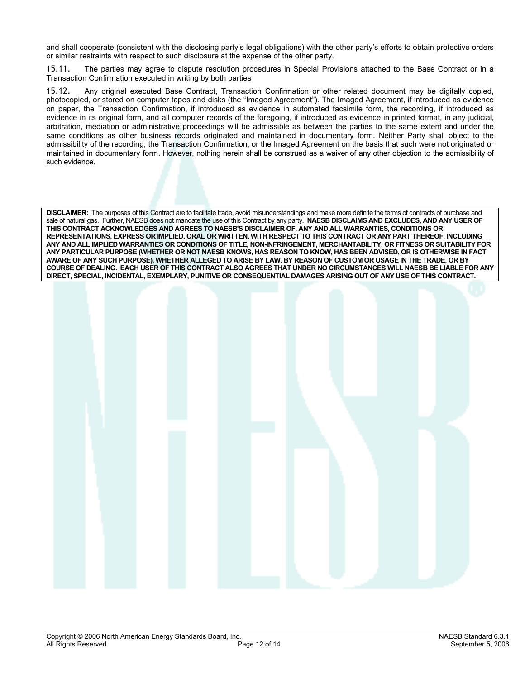and shall cooperate (consistent with the disclosing party's legal obligations) with the other party's efforts to obtain protective orders or similar restraints with respect to such disclosure at the expense of the other party.

15.11. The parties may agree to dispute resolution procedures in Special Provisions attached to the Base Contract or in a Transaction Confirmation executed in writing by both parties

15.12. Any original executed Base Contract, Transaction Confirmation or other related document may be digitally copied, photocopied, or stored on computer tapes and disks (the "Imaged Agreement"). The Imaged Agreement, if introduced as evidence on paper, the Transaction Confirmation, if introduced as evidence in automated facsimile form, the recording, if introduced as evidence in its original form, and all computer records of the foregoing, if introduced as evidence in printed format, in any judicial, arbitration, mediation or administrative proceedings will be admissible as between the parties to the same extent and under the same conditions as other business records originated and maintained in documentary form. Neither Party shall object to the admissibility of the recording, the Transaction Confirmation, or the Imaged Agreement on the basis that such were not originated or maintained in documentary form. However, nothing herein shall be construed as a waiver of any other objection to the admissibility of such evidence.

**DISCLAIMER:** The purposes of this Contract are to facilitate trade, avoid misunderstandings and make more definite the terms of contracts of purchase and sale of natural gas. Further, NAESB does not mandate the use of this Contract by any party. **NAESB DISCLAIMS AND EXCLUDES, AND ANY USER OF THIS CONTRACT ACKNOWLEDGES AND AGREES TO NAESB'S DISCLAIMER OF, ANY AND ALL WARRANTIES, CONDITIONS OR REPRESENTATIONS, EXPRESS OR IMPLIED, ORAL OR WRITTEN, WITH RESPECT TO THIS CONTRACT OR ANY PART THEREOF, INCLUDING ANY AND ALL IMPLIED WARRANTIES OR CONDITIONS OF TITLE, NON-INFRINGEMENT, MERCHANTABILITY, OR FITNESS OR SUITABILITY FOR ANY PARTICULAR PURPOSE (WHETHER OR NOT NAESB KNOWS, HAS REASON TO KNOW, HAS BEEN ADVISED, OR IS OTHERWISE IN FACT AWARE OF ANY SUCH PURPOSE), WHETHER ALLEGED TO ARISE BY LAW, BY REASON OF CUSTOM OR USAGE IN THE TRADE, OR BY COURSE OF DEALING. EACH USER OF THIS CONTRACT ALSO AGREES THAT UNDER NO CIRCUMSTANCES WILL NAESB BE LIABLE FOR ANY DIRECT, SPECIAL, INCIDENTAL, EXEMPLARY, PUNITIVE OR CONSEQUENTIAL DAMAGES ARISING OUT OF ANY USE OF THIS CONTRACT.**

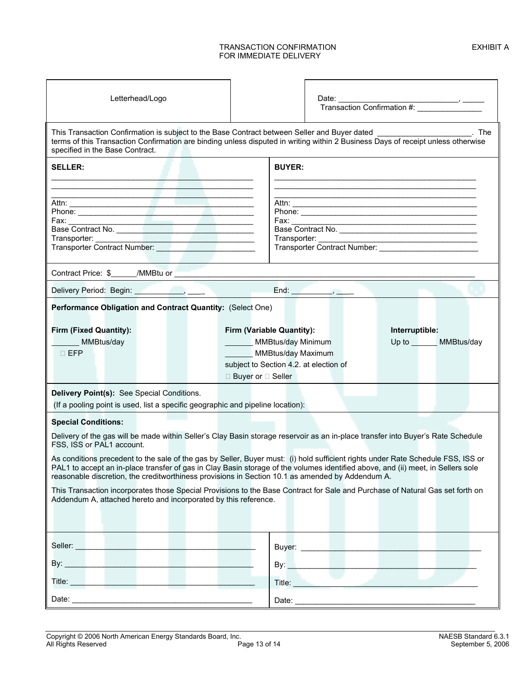### TRANSACTION CONFIRMATION **EXHIBIT A** FOR IMMEDIATE DELIVERY

| Letterhead/Logo                                                                                                                                                                                                                                                                                |                                                    |  |  |  |  |  |
|------------------------------------------------------------------------------------------------------------------------------------------------------------------------------------------------------------------------------------------------------------------------------------------------|----------------------------------------------------|--|--|--|--|--|
| This Transaction Confirmation is subject to the Base Contract between Seller and Buyer dated _____________________. The<br>terms of this Transaction Confirmation are binding unless disputed in writing within 2 Business Days of receipt unless otherwise<br>specified in the Base Contract. |                                                    |  |  |  |  |  |
| <b>SELLER:</b>                                                                                                                                                                                                                                                                                 | <b>BUYER:</b>                                      |  |  |  |  |  |
| <u> 1989 - Johann Stoff, deutscher Stoff, der Stoff, der Stoff, der Stoff, der Stoff, der Stoff, der Stoff, der S</u>                                                                                                                                                                          |                                                    |  |  |  |  |  |
|                                                                                                                                                                                                                                                                                                |                                                    |  |  |  |  |  |
|                                                                                                                                                                                                                                                                                                |                                                    |  |  |  |  |  |
| Base Contract No.                                                                                                                                                                                                                                                                              | Base Contract No.                                  |  |  |  |  |  |
|                                                                                                                                                                                                                                                                                                | Transporter Contract Number:                       |  |  |  |  |  |
|                                                                                                                                                                                                                                                                                                |                                                    |  |  |  |  |  |
|                                                                                                                                                                                                                                                                                                |                                                    |  |  |  |  |  |
| Delivery Period: Begin: <u>Communication of the Bird: Communication of the Bird: Communication of the Bird: Communication of the Bird: Communication of the Bird: Communication of the Bird: Communication of the Bird: Communic</u>                                                           |                                                    |  |  |  |  |  |
| Performance Obligation and Contract Quantity: (Select One)                                                                                                                                                                                                                                     |                                                    |  |  |  |  |  |
| Firm (Fixed Quantity):                                                                                                                                                                                                                                                                         | Firm (Variable Quantity):<br>Interruptible:        |  |  |  |  |  |
| MMBtus/day                                                                                                                                                                                                                                                                                     | MMBtus/day Minimum<br>Up to _______ MMBtus/day     |  |  |  |  |  |
| $\square$ EFP                                                                                                                                                                                                                                                                                  | MMBtus/day Maximum                                 |  |  |  |  |  |
| □ Buyer or □ Seller                                                                                                                                                                                                                                                                            | subject to Section 4.2. at election of             |  |  |  |  |  |
| Delivery Point(s): See Special Conditions.                                                                                                                                                                                                                                                     |                                                    |  |  |  |  |  |
| (If a pooling point is used, list a specific geographic and pipeline location):                                                                                                                                                                                                                |                                                    |  |  |  |  |  |
| <b>Special Conditions:</b>                                                                                                                                                                                                                                                                     |                                                    |  |  |  |  |  |
| Delivery of the gas will be made within Seller's Clay Basin storage reservoir as an in-place transfer into Buyer's Rate Schedule<br>FSS, ISS or PAL1 account.                                                                                                                                  |                                                    |  |  |  |  |  |
| As conditions precedent to the sale of the gas by Seller, Buyer must: (i) hold sufficient rights under Rate Schedule FSS, ISS or<br>PAL1 to accept an in-place transfer of gas in Clay Basin storage of the volumes identified above, and (ii) meet, in Sellers sole                           |                                                    |  |  |  |  |  |
| reasonable discretion, the creditworthiness provisions in Section 10.1 as amended by Addendum A.<br>This Transaction incorporates those Special Provisions to the Base Contract for Sale and Purchase of Natural Gas set forth on                                                              |                                                    |  |  |  |  |  |
| Addendum A, attached hereto and incorporated by this reference.                                                                                                                                                                                                                                |                                                    |  |  |  |  |  |
|                                                                                                                                                                                                                                                                                                |                                                    |  |  |  |  |  |
|                                                                                                                                                                                                                                                                                                |                                                    |  |  |  |  |  |
| Seller: <u>Andrea Barbara and Barbara and Barbara and Barbara and Barbara and Barbara and Barbara and Barbara and Barbara and Barbara and Barbara and Barbara and Barbara and Barbara and Barbara and Barbara and Barbara and Ba</u>                                                           |                                                    |  |  |  |  |  |
|                                                                                                                                                                                                                                                                                                |                                                    |  |  |  |  |  |
|                                                                                                                                                                                                                                                                                                | Title: <b>The Committee Committee</b> Section 2014 |  |  |  |  |  |
|                                                                                                                                                                                                                                                                                                |                                                    |  |  |  |  |  |